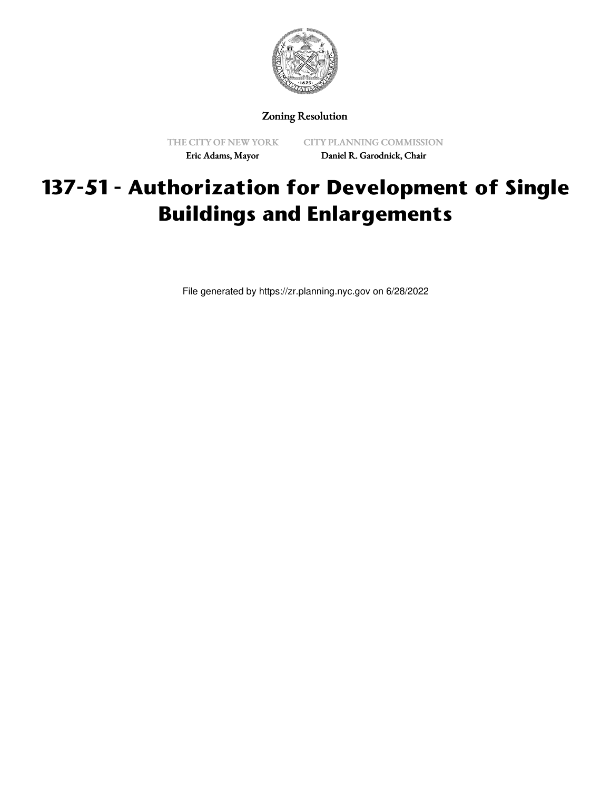

Zoning Resolution

THE CITY OF NEW YORK Eric Adams, Mayor

CITY PLANNING COMMISSION Daniel R. Garodnick, Chair

## **137-51 - Authorization for Development of Single Buildings and Enlargements**

File generated by https://zr.planning.nyc.gov on 6/28/2022